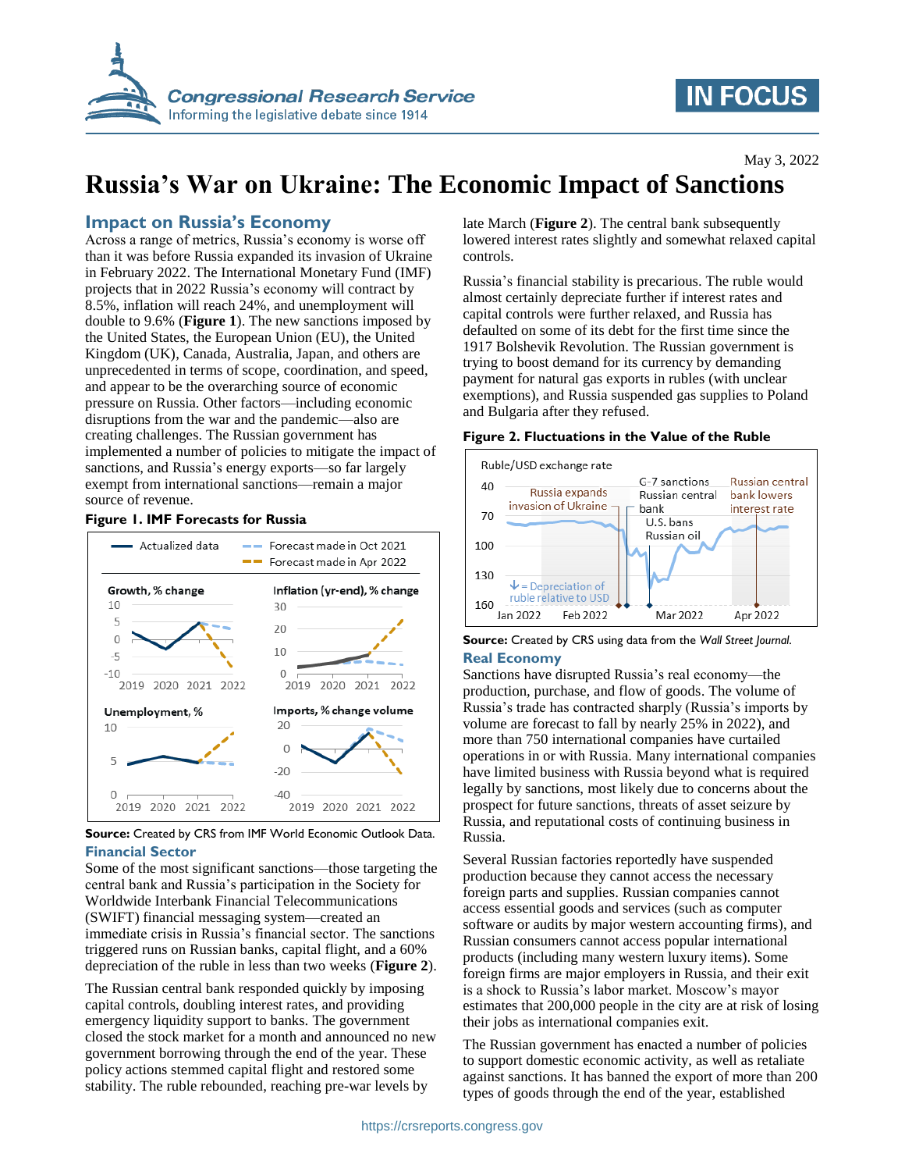

# **IN FOCUS**

# **Russia's War on Ukraine: The Economic Impact of Sanctions**

### **Impact on Russia's Economy**

Across a range of metrics, Russia's economy is worse off than it was before Russia expanded its invasion of Ukraine in February 2022. The International Monetary Fund (IMF) projects that in 2022 Russia's economy will contract by 8.5%, inflation will reach 24%, and unemployment will double to 9.6% (**[Figure 1](#page-0-0)**). The new sanctions imposed by the United States, the European Union (EU), the United Kingdom (UK), Canada, Australia, Japan, and others are unprecedented in terms of scope, coordination, and speed, and appear to be the overarching source of economic pressure on Russia. Other factors—including economic disruptions from the war and the pandemic—also are creating challenges. The Russian government has implemented a number of policies to mitigate the impact of sanctions, and Russia's energy exports—so far largely exempt from international sanctions—remain a major source of revenue.

#### <span id="page-0-0"></span>**Figure 1. IMF Forecasts for Russia**



**Source:** Created by CRS from IMF World Economic Outlook Data. **Financial Sector**

Some of the most significant sanctions—those targeting the central bank and Russia's participation in the Society for Worldwide Interbank Financial Telecommunications (SWIFT) financial messaging system—created an immediate crisis in Russia's financial sector. The sanctions triggered runs on Russian banks, capital flight, and a 60% depreciation of the ruble in less than two weeks (**[Figure 2](#page-0-1)**).

The Russian central bank responded quickly by imposing capital controls, doubling interest rates, and providing emergency liquidity support to banks. The government closed the stock market for a month and announced no new government borrowing through the end of the year. These policy actions stemmed capital flight and restored some stability. The ruble rebounded, reaching pre-war levels by

late March (**[Figure 2](#page-0-1)**). The central bank subsequently lowered interest rates slightly and somewhat relaxed capital controls.

Russia's financial stability is precarious. The ruble would almost certainly depreciate further if interest rates and capital controls were further relaxed, and Russia has defaulted on some of its debt for the first time since the 1917 Bolshevik Revolution. The Russian government is trying to boost demand for its currency by demanding payment for natural gas exports in rubles (with unclear exemptions), and Russia suspended gas supplies to Poland and Bulgaria after they refused.

<span id="page-0-1"></span>



**Source:** Created by CRS using data from the *Wall Street Journal*. **Real Economy**

Sanctions have disrupted Russia's real economy—the production, purchase, and flow of goods. The volume of Russia's trade has contracted sharply (Russia's imports by volume are forecast to fall by nearly 25% in 2022), and more than 750 international companies have curtailed operations in or with Russia. Many international companies have limited business with Russia beyond what is required legally by sanctions, most likely due to concerns about the prospect for future sanctions, threats of asset seizure by Russia, and reputational costs of continuing business in Russia.

Several Russian factories reportedly have suspended production because they cannot access the necessary foreign parts and supplies. Russian companies cannot access essential goods and services (such as computer software or audits by major western accounting firms), and Russian consumers cannot access popular international products (including many western luxury items). Some foreign firms are major employers in Russia, and their exit is a shock to Russia's labor market. Moscow's mayor estimates that 200,000 people in the city are at risk of losing their jobs as international companies exit.

The Russian government has enacted a number of policies to support domestic economic activity, as well as retaliate against sanctions. It has banned the export of more than 200 types of goods through the end of the year, established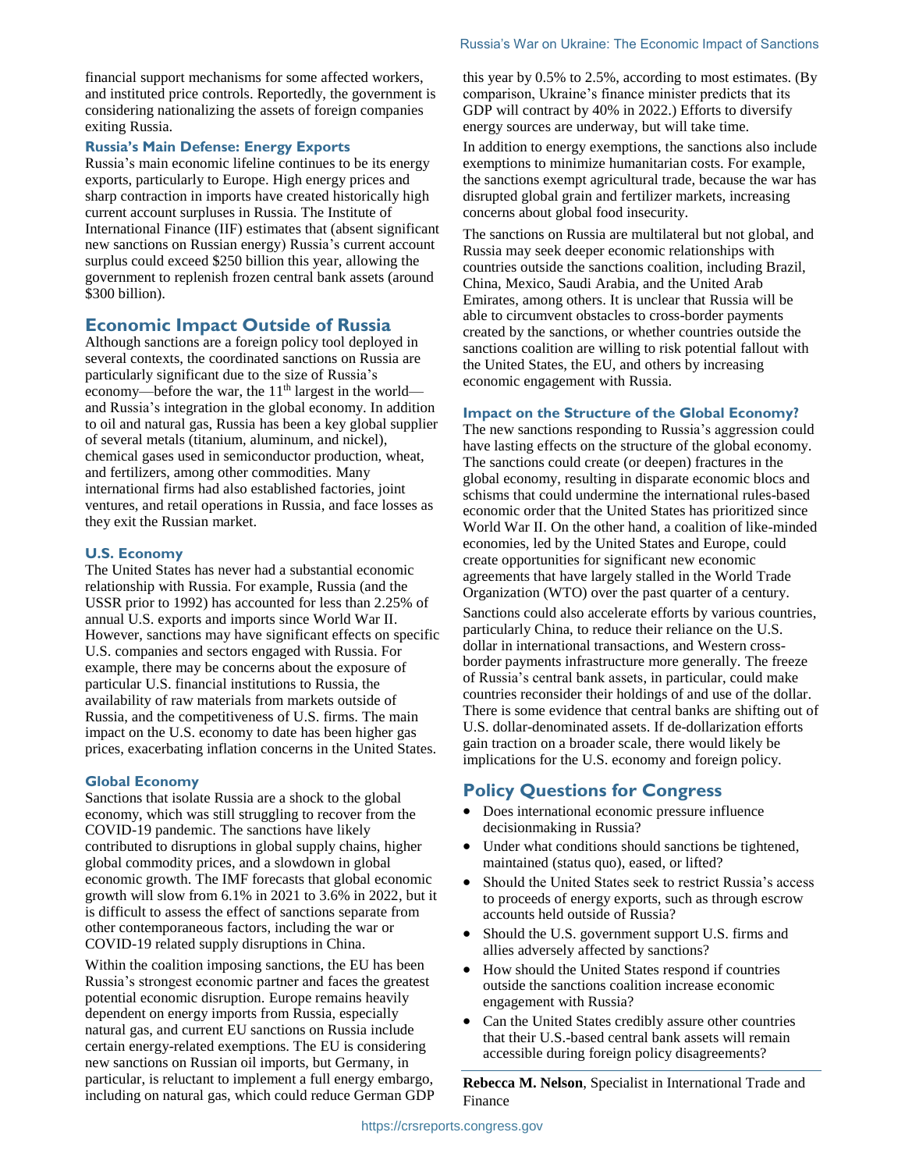financial support mechanisms for some affected workers, and instituted price controls. Reportedly, the government is considering nationalizing the assets of foreign companies exiting Russia.

#### **Russia's Main Defense: Energy Exports**

Russia's main economic lifeline continues to be its energy exports, particularly to Europe. High energy prices and sharp contraction in imports have created historically high current account surpluses in Russia. The Institute of International Finance (IIF) estimates that (absent significant new sanctions on Russian energy) Russia's current account surplus could exceed \$250 billion this year, allowing the government to replenish frozen central bank assets (around \$300 billion).

#### **Economic Impact Outside of Russia**

Although sanctions are a foreign policy tool deployed in several contexts, the coordinated sanctions on Russia are particularly significant due to the size of Russia's economy—before the war, the 11<sup>th</sup> largest in the world and Russia's integration in the global economy. In addition to oil and natural gas, Russia has been a key global supplier of several metals (titanium, aluminum, and nickel), chemical gases used in semiconductor production, wheat, and fertilizers, among other commodities. Many international firms had also established factories, joint ventures, and retail operations in Russia, and face losses as they exit the Russian market.

#### **U.S. Economy**

The United States has never had a substantial economic relationship with Russia. For example, Russia (and the USSR prior to 1992) has accounted for less than 2.25% of annual U.S. exports and imports since World War II. However, sanctions may have significant effects on specific U.S. companies and sectors engaged with Russia. For example, there may be concerns about the exposure of particular U.S. financial institutions to Russia, the availability of raw materials from markets outside of Russia, and the competitiveness of U.S. firms. The main impact on the U.S. economy to date has been higher gas prices, exacerbating inflation concerns in the United States.

#### **Global Economy**

Sanctions that isolate Russia are a shock to the global economy, which was still struggling to recover from the COVID-19 pandemic. The sanctions have likely contributed to disruptions in global supply chains, higher global commodity prices, and a slowdown in global economic growth. The IMF forecasts that global economic growth will slow from 6.1% in 2021 to 3.6% in 2022, but it is difficult to assess the effect of sanctions separate from other contemporaneous factors, including the war or COVID-19 related supply disruptions in China.

Within the coalition imposing sanctions, the EU has been Russia's strongest economic partner and faces the greatest potential economic disruption. Europe remains heavily dependent on energy imports from Russia, especially natural gas, and current EU sanctions on Russia include certain energy-related exemptions. The EU is considering new sanctions on Russian oil imports, but Germany, in particular, is reluctant to implement a full energy embargo, including on natural gas, which could reduce German GDP this year by 0.5% to 2.5%, according to most estimates. (By comparison, Ukraine's finance minister predicts that its GDP will contract by 40% in 2022.) Efforts to diversify energy sources are underway, but will take time.

In addition to energy exemptions, the sanctions also include exemptions to minimize humanitarian costs. For example, the sanctions exempt agricultural trade, because the war has disrupted global grain and fertilizer markets, increasing concerns about global food insecurity.

The sanctions on Russia are multilateral but not global, and Russia may seek deeper economic relationships with countries outside the sanctions coalition, including Brazil, China, Mexico, Saudi Arabia, and the United Arab Emirates, among others. It is unclear that Russia will be able to circumvent obstacles to cross-border payments created by the sanctions, or whether countries outside the sanctions coalition are willing to risk potential fallout with the United States, the EU, and others by increasing economic engagement with Russia.

#### **Impact on the Structure of the Global Economy?**

The new sanctions responding to Russia's aggression could have lasting effects on the structure of the global economy. The sanctions could create (or deepen) fractures in the global economy, resulting in disparate economic blocs and schisms that could undermine the international rules-based economic order that the United States has prioritized since World War II. On the other hand, a coalition of like-minded economies, led by the United States and Europe, could create opportunities for significant new economic agreements that have largely stalled in the World Trade Organization (WTO) over the past quarter of a century.

Sanctions could also accelerate efforts by various countries, particularly China, to reduce their reliance on the U.S. dollar in international transactions, and Western crossborder payments infrastructure more generally. The freeze of Russia's central bank assets, in particular, could make countries reconsider their holdings of and use of the dollar. There is some evidence that central banks are shifting out of U.S. dollar-denominated assets. If de-dollarization efforts gain traction on a broader scale, there would likely be implications for the U.S. economy and foreign policy.

### **Policy Questions for Congress**

- Does international economic pressure influence decisionmaking in Russia?
- Under what conditions should sanctions be tightened, maintained (status quo), eased, or lifted?
- Should the United States seek to restrict Russia's access to proceeds of energy exports, such as through escrow accounts held outside of Russia?
- Should the U.S. government support U.S. firms and allies adversely affected by sanctions?
- How should the United States respond if countries outside the sanctions coalition increase economic engagement with Russia?
- Can the United States credibly assure other countries that their U.S.-based central bank assets will remain accessible during foreign policy disagreements?

**Rebecca M. Nelson**, Specialist in International Trade and Finance